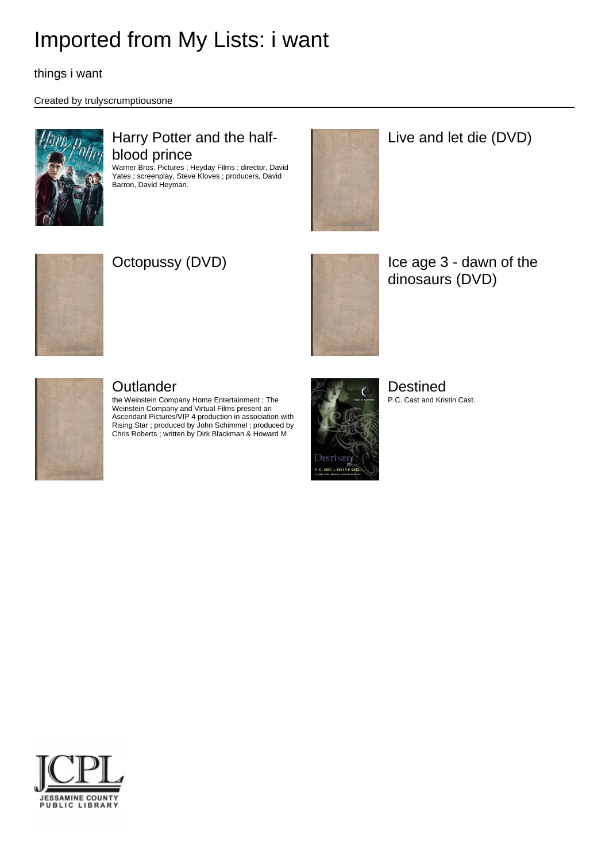things i want

#### Created by trulyscrumptiousone



### Harry Potter and the halfblood prince

Warner Bros. Pictures ; Heyday Films ; director, David Yates ; screenplay, Steve Kloves ; producers, David Barron, David Heyman.



Live and let die (DVD)





Octopussy (DVD) **If the age 3 - dawn of the** dinosaurs (DVD)



### **Outlander**

the Weinstein Company Home Entertainment ; The Weinstein Company and Virtual Films present an Ascendant Pictures/VIP 4 production in association with Rising Star ; produced by John Schimmel ; produced by Chris Roberts ; written by Dirk Blackman & Howard M



Destined P.C. Cast and Kristin Cast.

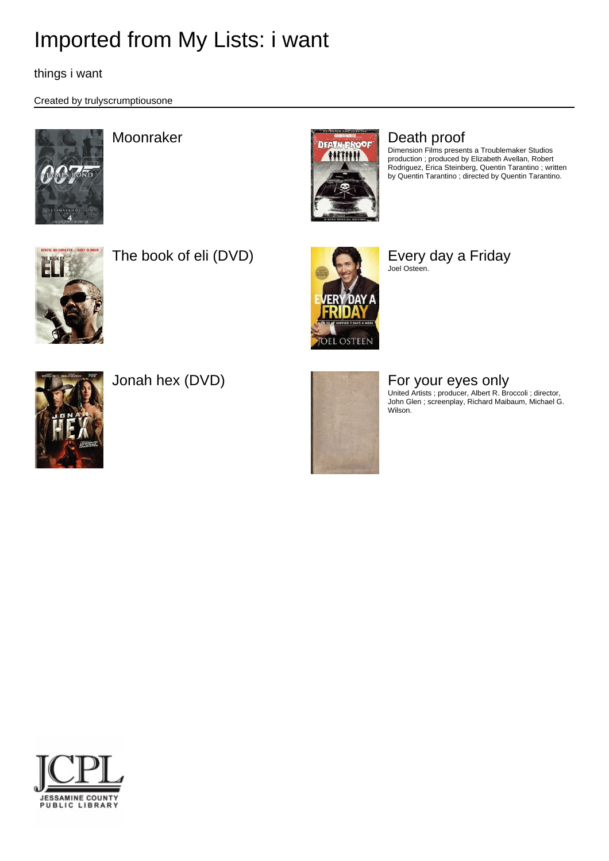things i want

Created by trulyscrumptiousone





Dimension Films presents a Troublemaker Studios production ; produced by Elizabeth Avellan, Robert Rodriguez, Erica Steinberg, Quentin Tarantino ; written by Quentin Tarantino ; directed by Quentin Tarantino.



The book of eli (DVD) Every day a Friday



Joel Osteen.





Jonah hex (DVD) **For your eyes only** 

United Artists ; producer, Albert R. Broccoli ; director, John Glen ; screenplay, Richard Maibaum, Michael G. Wilson.

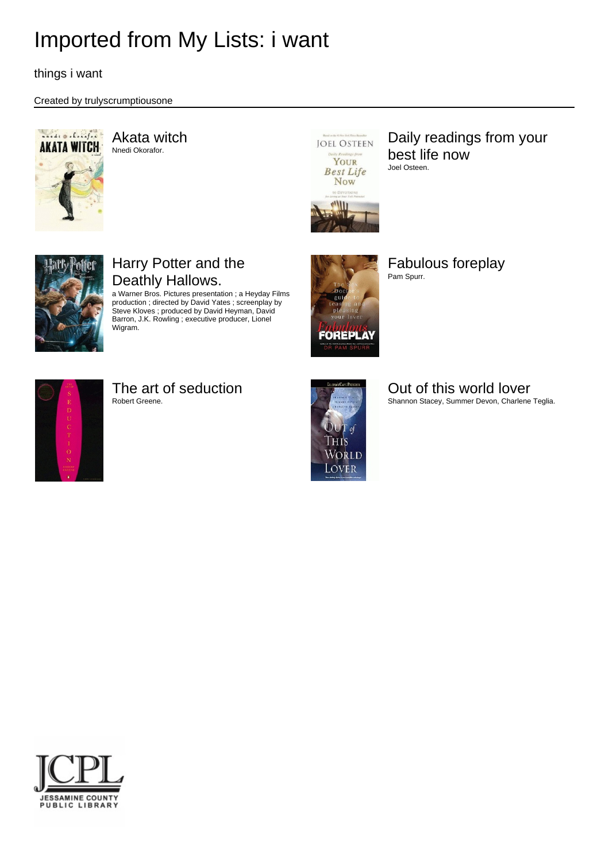things i want

#### Created by trulyscrumptiousone



Akata witch Nnedi Okorafor.



Daily readings from your best life now Joel Osteen.



## Harry Potter and the Deathly Hallows.

a Warner Bros. Pictures presentation ; a Heyday Films production ; directed by David Yates ; screenplay by Steve Kloves ; produced by David Heyman, David Barron, J.K. Rowling ; executive producer, Lionel Wigram.



Fabulous foreplay Pam Spurr.



## The art of seduction

Robert Greene.



### Out of this world lover

Shannon Stacey, Summer Devon, Charlene Teglia.